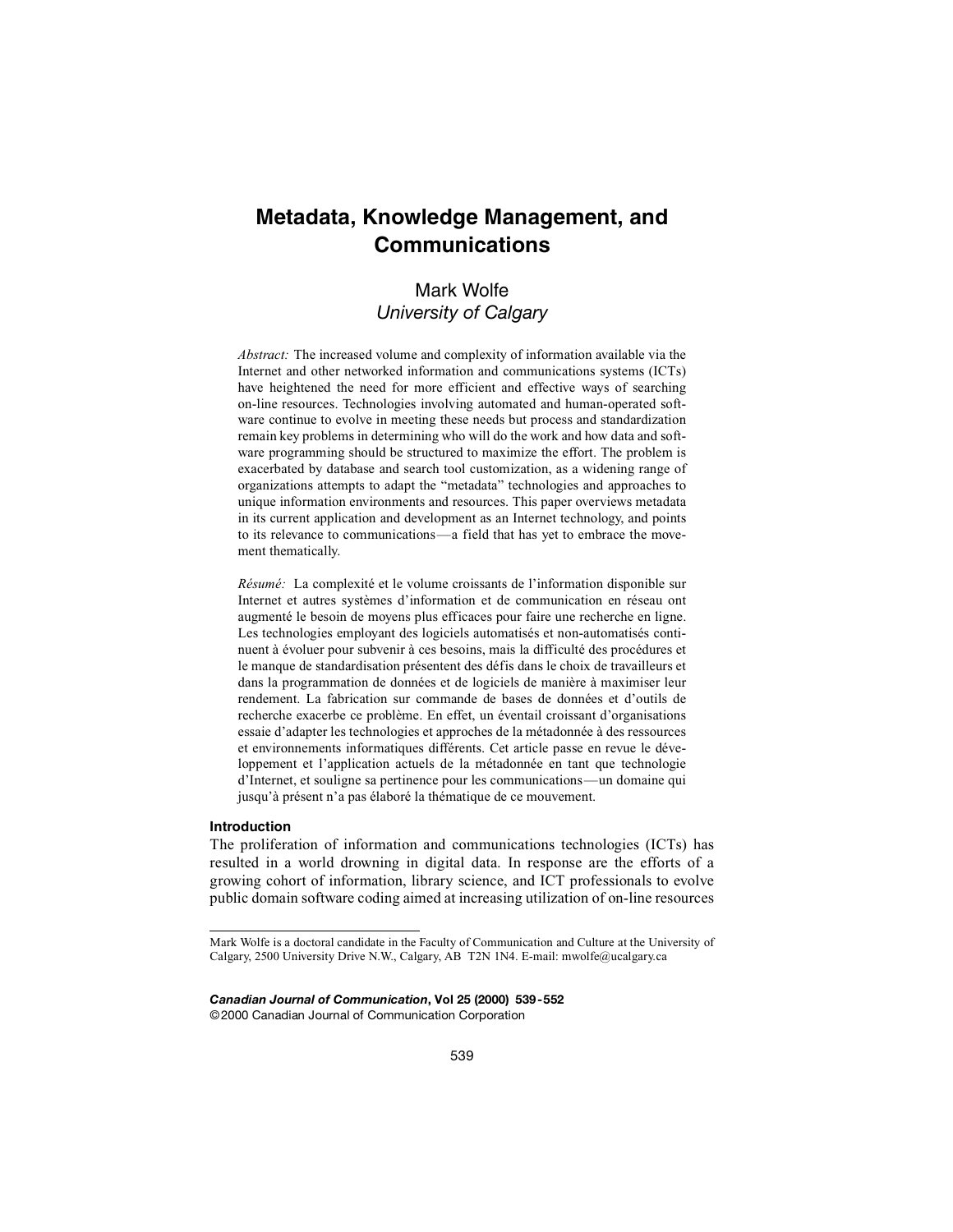# **Metadata, Knowledge Management, and Communications**

## Mark Wolfe *University of Calgary*

*Abstract:* The increased volume and complexity of information available via the Internet and other networked information and communications systems (ICTs) have heightened the need for more efficient and effective ways of searching on-line resources. Technologies involving automated and human-operated software continue to evolve in meeting these needs but process and standardization remain key problems in determining who will do the work and how data and software programming should be structured to maximize the effort. The problem is exacerbated by database and search tool customization, as a widening range of organizations attempts to adapt the "metadata" technologies and approaches to unique information environments and resources. This paper overviews metadata in its current application and development as an Internet technology, and points to its relevance to communications—a field that has yet to embrace the movement thematically.

*Résumé:* La complexité et le volume croissants de l'information disponible sur Internet et autres systèmes d'information et de communication en réseau ont augmenté le besoin de moyens plus efficaces pour faire une recherche en ligne. Les technologies employant des logiciels automatisés et non-automatisés continuent à évoluer pour subvenir à ces besoins, mais la difficulté des procédures et le manque de standardisation présentent des défis dans le choix de travailleurs et dans la programmation de données et de logiciels de manière à maximiser leur rendement. La fabrication sur commande de bases de données et d'outils de recherche exacerbe ce problème. En effet, un éventail croissant d'organisations essaie d'adapter les technologies et approches de la métadonnée à des ressources et environnements informatiques différents. Cet article passe en revue le développement et l'application actuels de la métadonnée en tant que technologie d'Internet, et souligne sa pertinence pour les communications—un domaine qui jusqu'à présent n'a pas élaboré la thématique de ce mouvement.

## **Introduction**

The proliferation of information and communications technologies (ICTs) has resulted in a world drowning in digital data. In response are the efforts of a growing cohort of information, library science, and ICT professionals to evolve public domain software coding aimed at increasing utilization of on-line resources

*Canadian Journal of Communication***, Vol 25 (2000) 539-552** ©2000 Canadian Journal of Communication Corporation

Mark Wolfe is a doctoral candidate in the Faculty of Communication and Culture at the University of Calgary, 2500 University Drive N.W., Calgary, AB T2N 1N4. E-mail: mwolfe@ucalgary.ca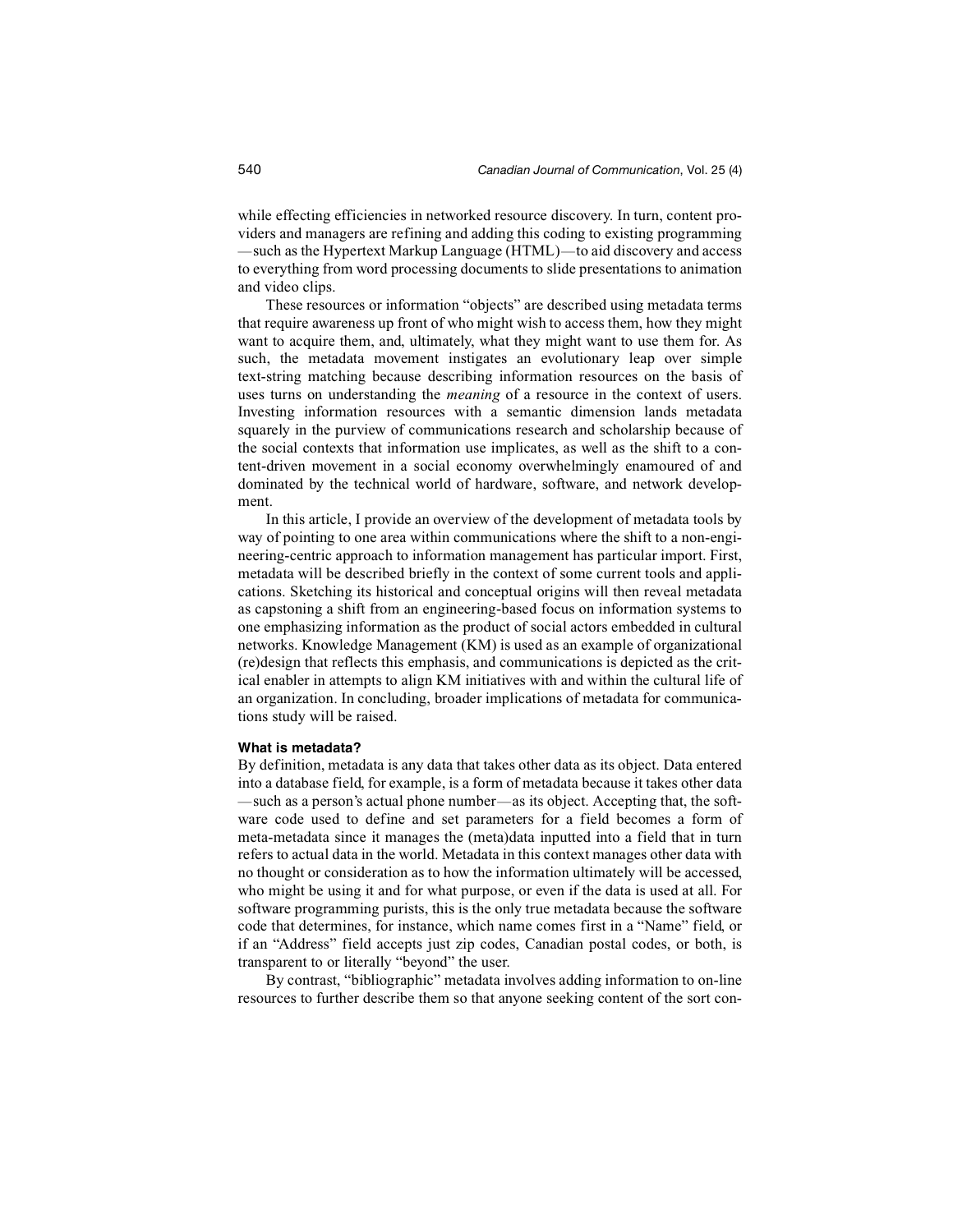while effecting efficiencies in networked resource discovery. In turn, content providers and managers are refining and adding this coding to existing programming —such as the Hypertext Markup Language (HTML)—to aid discovery and access to everything from word processing documents to slide presentations to animation and video clips.

These resources or information "objects" are described using metadata terms that require awareness up front of who might wish to access them, how they might want to acquire them, and, ultimately, what they might want to use them for. As such, the metadata movement instigates an evolutionary leap over simple text-string matching because describing information resources on the basis of uses turns on understanding the *meaning* of a resource in the context of users. Investing information resources with a semantic dimension lands metadata squarely in the purview of communications research and scholarship because of the social contexts that information use implicates, as well as the shift to a content-driven movement in a social economy overwhelmingly enamoured of and dominated by the technical world of hardware, software, and network development.

In this article, I provide an overview of the development of metadata tools by way of pointing to one area within communications where the shift to a non-engineering-centric approach to information management has particular import. First, metadata will be described briefly in the context of some current tools and applications. Sketching its historical and conceptual origins will then reveal metadata as capstoning a shift from an engineering-based focus on information systems to one emphasizing information as the product of social actors embedded in cultural networks. Knowledge Management (KM) is used as an example of organizational (re)design that reflects this emphasis, and communications is depicted as the critical enabler in attempts to align KM initiatives with and within the cultural life of an organization. In concluding, broader implications of metadata for communications study will be raised.

## **What is metadata?**

By definition, metadata is any data that takes other data as its object. Data entered into a database field, for example, is a form of metadata because it takes other data —such as a person's actual phone number—as its object. Accepting that, the software code used to define and set parameters for a field becomes a form of meta-metadata since it manages the (meta)data inputted into a field that in turn refers to actual data in the world. Metadata in this context manages other data with no thought or consideration as to how the information ultimately will be accessed, who might be using it and for what purpose, or even if the data is used at all. For software programming purists, this is the only true metadata because the software code that determines, for instance, which name comes first in a "Name" field, or if an "Address" field accepts just zip codes, Canadian postal codes, or both, is transparent to or literally "beyond" the user.

By contrast, "bibliographic" metadata involves adding information to on-line resources to further describe them so that anyone seeking content of the sort con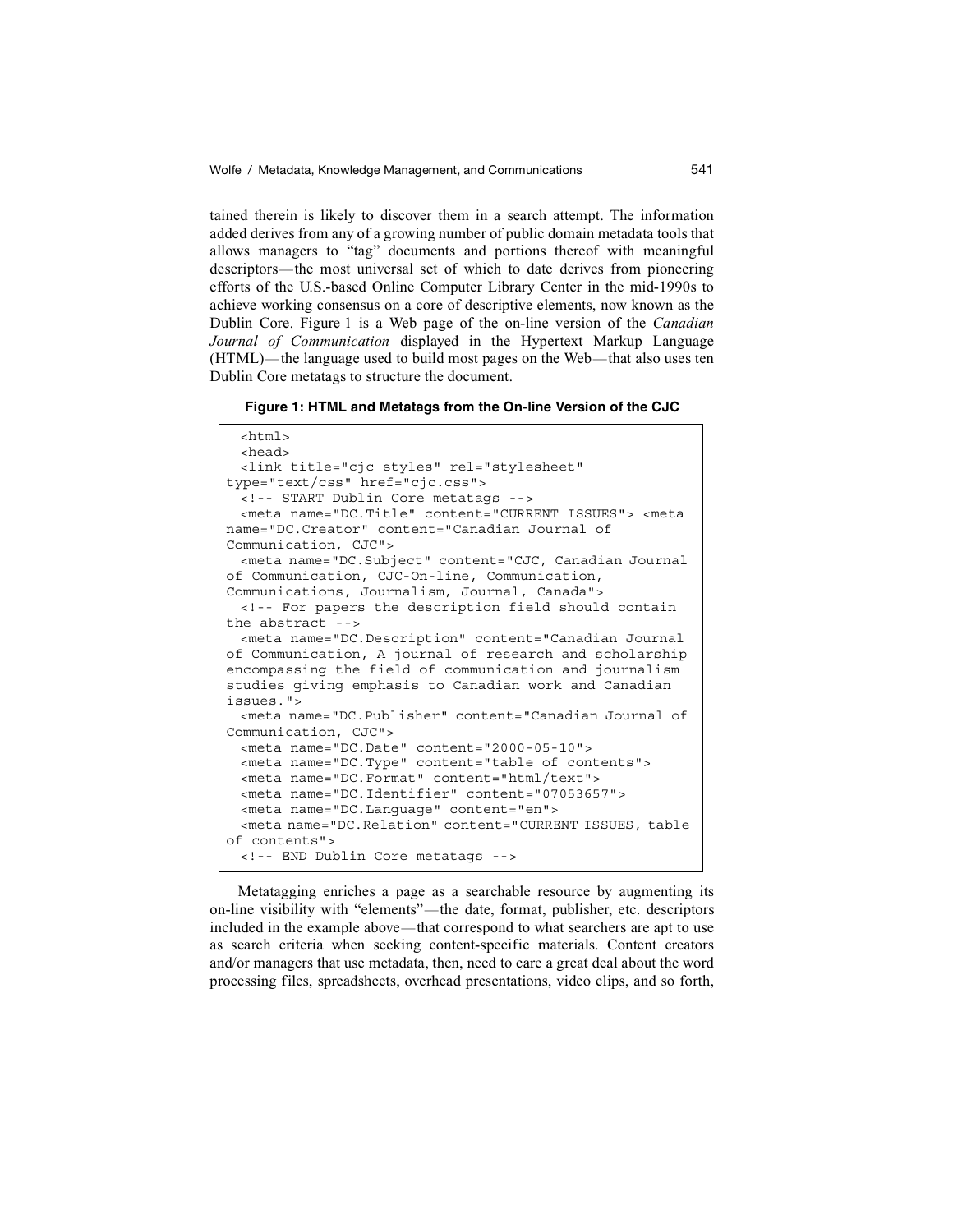tained therein is likely to discover them in a search attempt. The information added derives from any of a growing number of public domain metadata tools that allows managers to "tag" documents and portions thereof with meaningful descriptors—the most universal set of which to date derives from pioneering efforts of the U.S.-based Online Computer Library Center in the mid-1990s to achieve working consensus on a core of descriptive elements, now known as the Dublin Core. Figure 1 is a Web page of the on-line version of the *Canadian Journal of Communication* displayed in the Hypertext Markup Language (HTML)—the language used to build most pages on the Web—that also uses ten Dublin Core metatags to structure the document.

```
Figure 1: HTML and Metatags from the On-line Version of the CJC
```

```
<html>
 <head>
 <link title="cjc styles" rel="stylesheet" 
type="text/css" href="cjc.css">
 <!-- START Dublin Core metatags -->
 <meta name="DC.Title" content="CURRENT ISSUES"> <meta 
name="DC.Creator" content="Canadian Journal of 
Communication, CJC">
 <meta name="DC.Subject" content="CJC, Canadian Journal 
of Communication, CJC-On-line, Communication, 
Communications, Journalism, Journal, Canada">
 <!-- For papers the description field should contain 
the abstract -->
 <meta name="DC.Description" content="Canadian Journal 
of Communication, A journal of research and scholarship 
encompassing the field of communication and journalism 
studies giving emphasis to Canadian work and Canadian 
issues.">
 <meta name="DC.Publisher" content="Canadian Journal of 
Communication, CJC">
 <meta name="DC.Date" content="2000-05-10">
 <meta name="DC.Type" content="table of contents">
 <meta name="DC.Format" content="html/text">
 <meta name="DC.Identifier" content="07053657">
 <meta name="DC.Language" content="en">
 <meta name="DC.Relation" content="CURRENT ISSUES, table 
of contents">
 <!-- END Dublin Core metatags -->
```
Metatagging enriches a page as a searchable resource by augmenting its on-line visibility with "elements"—the date, format, publisher, etc. descriptors included in the example above—that correspond to what searchers are apt to use as search criteria when seeking content-specific materials. Content creators and/or managers that use metadata, then, need to care a great deal about the word processing files, spreadsheets, overhead presentations, video clips, and so forth,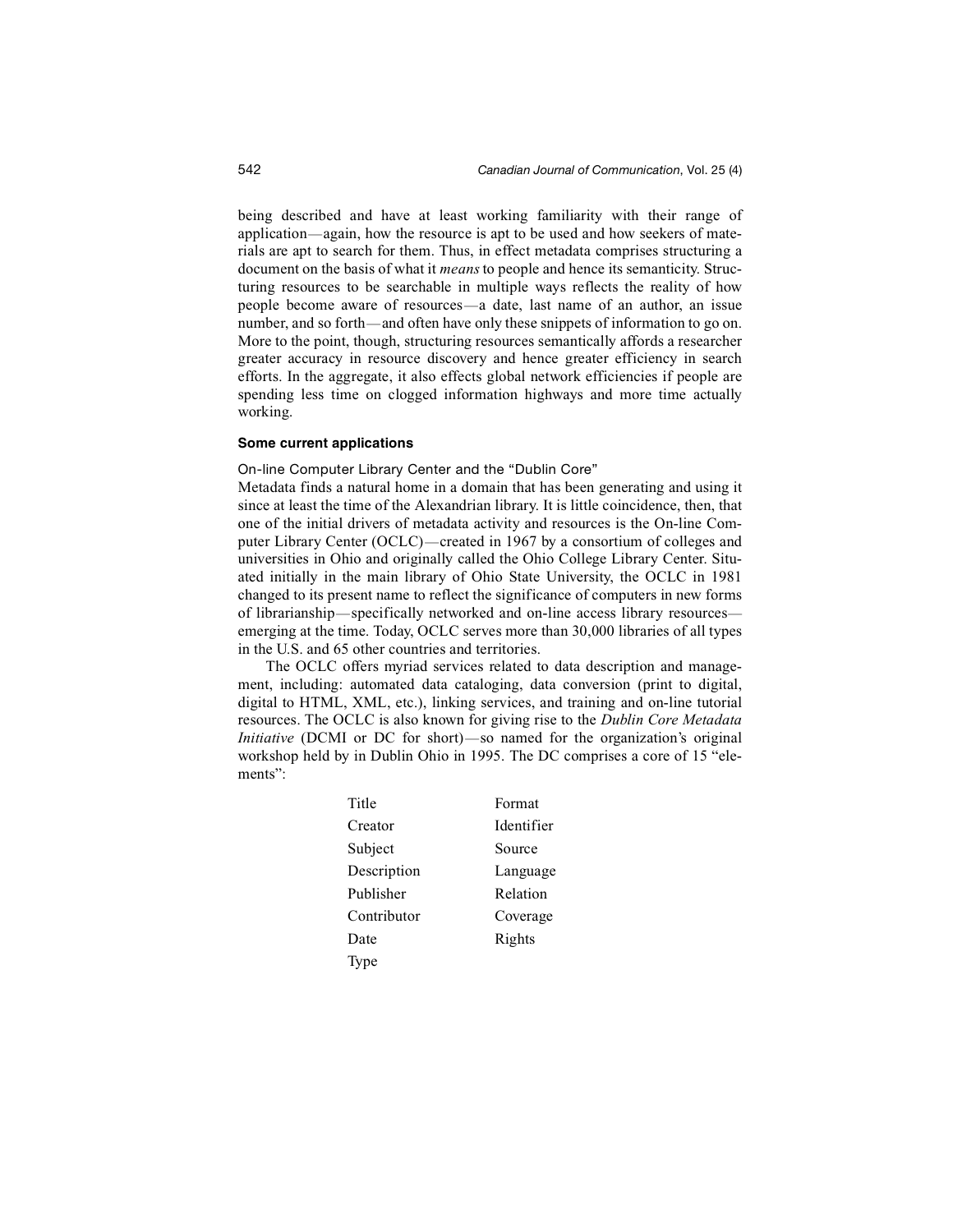being described and have at least working familiarity with their range of application—again, how the resource is apt to be used and how seekers of materials are apt to search for them. Thus, in effect metadata comprises structuring a document on the basis of what it *means* to people and hence its semanticity. Structuring resources to be searchable in multiple ways reflects the reality of how people become aware of resources—a date, last name of an author, an issue number, and so forth—and often have only these snippets of information to go on. More to the point, though, structuring resources semantically affords a researcher greater accuracy in resource discovery and hence greater efficiency in search efforts. In the aggregate, it also effects global network efficiencies if people are spending less time on clogged information highways and more time actually working.

## **Some current applications**

On-line Computer Library Center and the "Dublin Core"

Metadata finds a natural home in a domain that has been generating and using it since at least the time of the Alexandrian library. It is little coincidence, then, that one of the initial drivers of metadata activity and resources is the On-line Computer Library Center (OCLC)—created in 1967 by a consortium of colleges and universities in Ohio and originally called the Ohio College Library Center. Situated initially in the main library of Ohio State University, the OCLC in 1981 changed to its present name to reflect the significance of computers in new forms of librarianship—specifically networked and on-line access library resources emerging at the time. Today, OCLC serves more than 30,000 libraries of all types in the U.S. and 65 other countries and territories.

The OCLC offers myriad services related to data description and management, including: automated data cataloging, data conversion (print to digital, digital to HTML, XML, etc.), linking services, and training and on-line tutorial resources. The OCLC is also known for giving rise to the *Dublin Core Metadata Initiative* (DCMI or DC for short)—so named for the organization's original workshop held by in Dublin Ohio in 1995. The DC comprises a core of 15 "elements":

| Title       | Format     |
|-------------|------------|
| Creator     | Identifier |
| Subject     | Source     |
| Description | Language   |
| Publisher   | Relation   |
| Contributor | Coverage   |
| Date        | Rights     |
| Type        |            |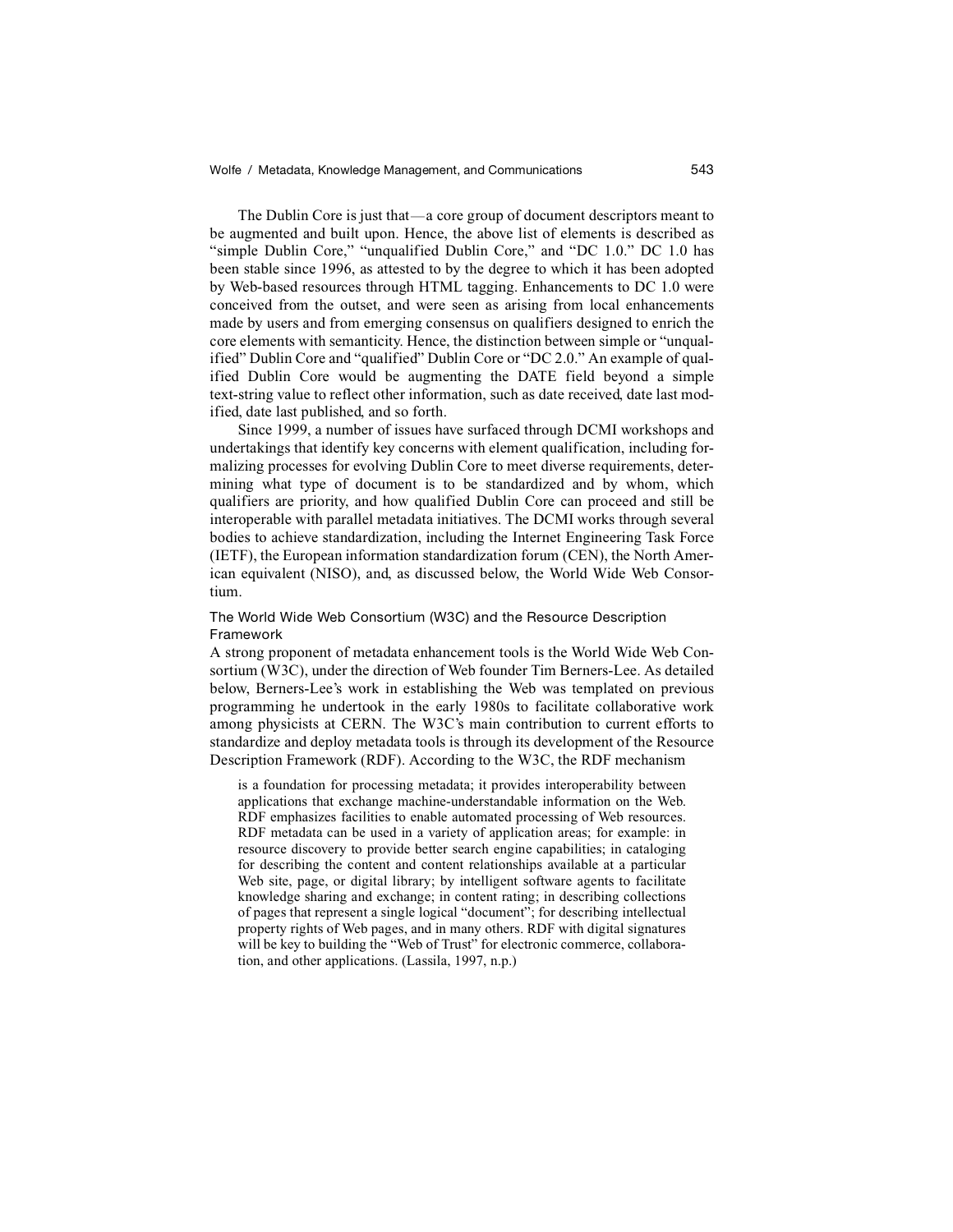The Dublin Core is just that—a core group of document descriptors meant to be augmented and built upon. Hence, the above list of elements is described as "simple Dublin Core," "unqualified Dublin Core," and "DC 1.0." DC 1.0 has been stable since 1996, as attested to by the degree to which it has been adopted by Web-based resources through HTML tagging. Enhancements to DC 1.0 were conceived from the outset, and were seen as arising from local enhancements made by users and from emerging consensus on qualifiers designed to enrich the core elements with semanticity. Hence, the distinction between simple or "unqualified" Dublin Core and "qualified" Dublin Core or "DC 2.0." An example of qualified Dublin Core would be augmenting the DATE field beyond a simple text-string value to reflect other information, such as date received, date last modified, date last published, and so forth.

Since 1999, a number of issues have surfaced through DCMI workshops and undertakings that identify key concerns with element qualification, including formalizing processes for evolving Dublin Core to meet diverse requirements, determining what type of document is to be standardized and by whom, which qualifiers are priority, and how qualified Dublin Core can proceed and still be interoperable with parallel metadata initiatives. The DCMI works through several bodies to achieve standardization, including the Internet Engineering Task Force (IETF), the European information standardization forum (CEN), the North American equivalent (NISO), and, as discussed below, the World Wide Web Consortium.

## The World Wide Web Consortium (W3C) and the Resource Description Framework

A strong proponent of metadata enhancement tools is the World Wide Web Consortium (W3C), under the direction of Web founder Tim Berners-Lee. As detailed below, Berners-Lee's work in establishing the Web was templated on previous programming he undertook in the early 1980s to facilitate collaborative work among physicists at CERN. The W3C's main contribution to current efforts to standardize and deploy metadata tools is through its development of the Resource Description Framework (RDF). According to the W3C, the RDF mechanism

is a foundation for processing metadata; it provides interoperability between applications that exchange machine-understandable information on the Web. RDF emphasizes facilities to enable automated processing of Web resources. RDF metadata can be used in a variety of application areas; for example: in resource discovery to provide better search engine capabilities; in cataloging for describing the content and content relationships available at a particular Web site, page, or digital library; by intelligent software agents to facilitate knowledge sharing and exchange; in content rating; in describing collections of pages that represent a single logical "document"; for describing intellectual property rights of Web pages, and in many others. RDF with digital signatures will be key to building the "Web of Trust" for electronic commerce, collaboration, and other applications. (Lassila, 1997, n.p.)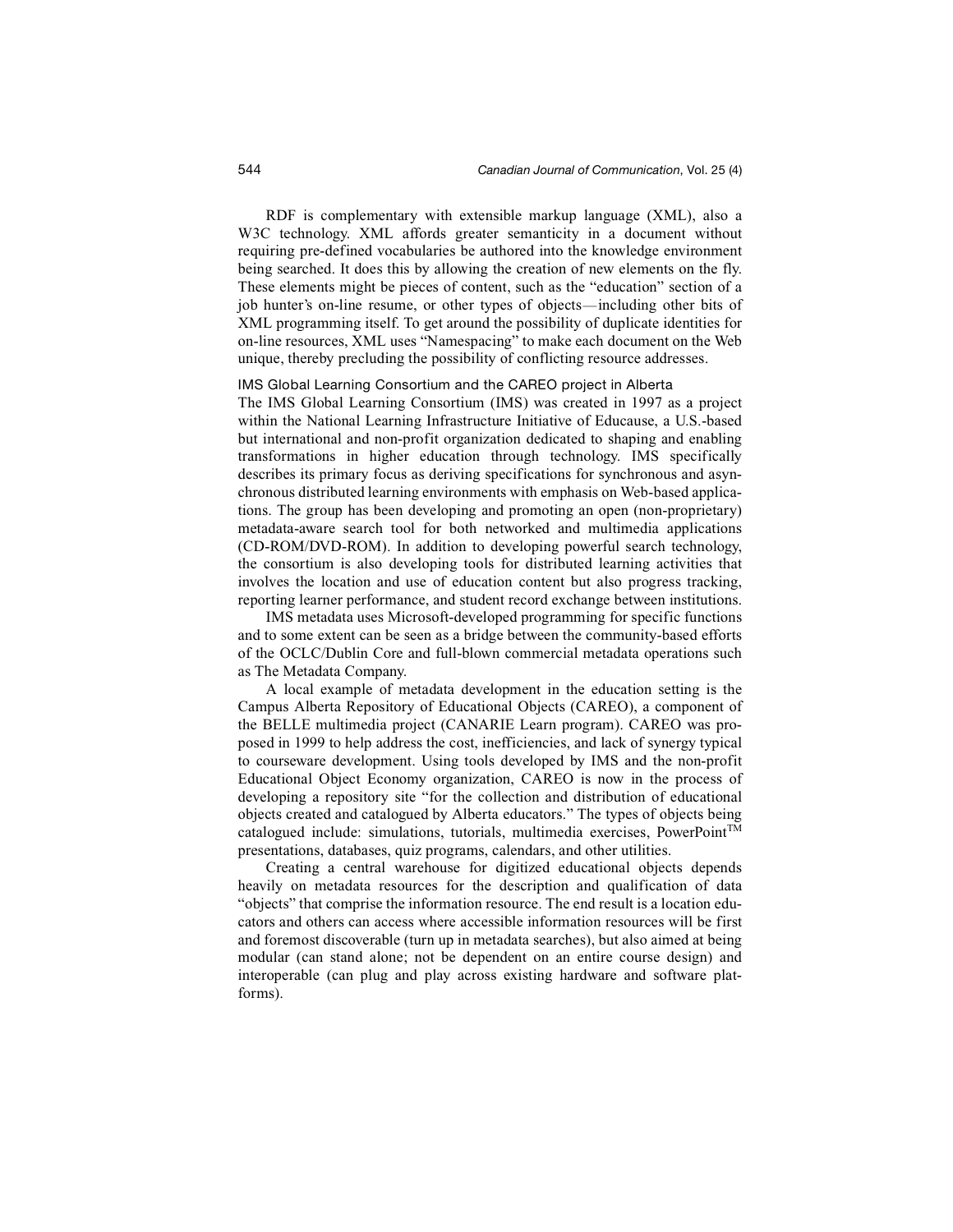RDF is complementary with extensible markup language (XML), also a W3C technology. XML affords greater semanticity in a document without requiring pre-defined vocabularies be authored into the knowledge environment being searched. It does this by allowing the creation of new elements on the fly. These elements might be pieces of content, such as the "education" section of a job hunter's on-line resume, or other types of objects—including other bits of XML programming itself. To get around the possibility of duplicate identities for on-line resources, XML uses "Namespacing" to make each document on the Web unique, thereby precluding the possibility of conflicting resource addresses.

## IMS Global Learning Consortium and the CAREO project in Alberta

The IMS Global Learning Consortium (IMS) was created in 1997 as a project within the National Learning Infrastructure Initiative of Educause, a U.S.-based but international and non-profit organization dedicated to shaping and enabling transformations in higher education through technology. IMS specifically describes its primary focus as deriving specifications for synchronous and asynchronous distributed learning environments with emphasis on Web-based applications. The group has been developing and promoting an open (non-proprietary) metadata-aware search tool for both networked and multimedia applications (CD-ROM/DVD-ROM). In addition to developing powerful search technology, the consortium is also developing tools for distributed learning activities that involves the location and use of education content but also progress tracking, reporting learner performance, and student record exchange between institutions.

IMS metadata uses Microsoft-developed programming for specific functions and to some extent can be seen as a bridge between the community-based efforts of the OCLC/Dublin Core and full-blown commercial metadata operations such as The Metadata Company.

A local example of metadata development in the education setting is the Campus Alberta Repository of Educational Objects (CAREO), a component of the BELLE multimedia project (CANARIE Learn program). CAREO was proposed in 1999 to help address the cost, inefficiencies, and lack of synergy typical to courseware development. Using tools developed by IMS and the non-profit Educational Object Economy organization, CAREO is now in the process of developing a repository site "for the collection and distribution of educational objects created and catalogued by Alberta educators." The types of objects being catalogued include: simulations, tutorials, multimedia exercises,  $PowerPoint^{TM}$ presentations, databases, quiz programs, calendars, and other utilities.

Creating a central warehouse for digitized educational objects depends heavily on metadata resources for the description and qualification of data "objects" that comprise the information resource. The end result is a location educators and others can access where accessible information resources will be first and foremost discoverable (turn up in metadata searches), but also aimed at being modular (can stand alone; not be dependent on an entire course design) and interoperable (can plug and play across existing hardware and software platforms).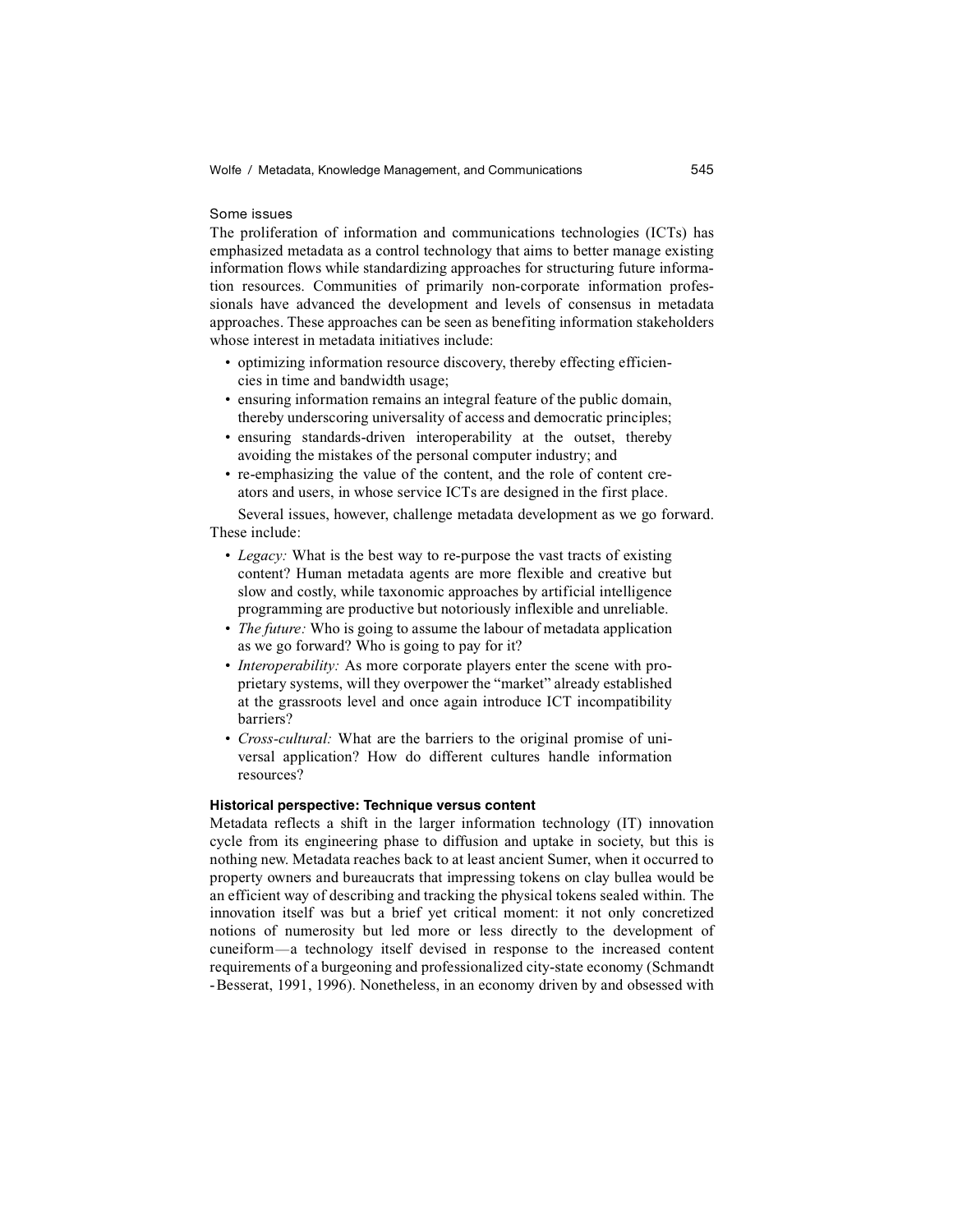## Some issues

The proliferation of information and communications technologies (ICTs) has emphasized metadata as a control technology that aims to better manage existing information flows while standardizing approaches for structuring future information resources. Communities of primarily non-corporate information professionals have advanced the development and levels of consensus in metadata approaches. These approaches can be seen as benefiting information stakeholders whose interest in metadata initiatives include:

- optimizing information resource discovery, thereby effecting efficiencies in time and bandwidth usage;
- ensuring information remains an integral feature of the public domain, thereby underscoring universality of access and democratic principles;
- ensuring standards-driven interoperability at the outset, thereby avoiding the mistakes of the personal computer industry; and
- re-emphasizing the value of the content, and the role of content creators and users, in whose service ICTs are designed in the first place.

Several issues, however, challenge metadata development as we go forward. These include:

- *Legacy*: What is the best way to re-purpose the vast tracts of existing content? Human metadata agents are more flexible and creative but slow and costly, while taxonomic approaches by artificial intelligence programming are productive but notoriously inflexible and unreliable.
- *The future:* Who is going to assume the labour of metadata application as we go forward? Who is going to pay for it?
- *Interoperability:* As more corporate players enter the scene with proprietary systems, will they overpower the "market" already established at the grassroots level and once again introduce ICT incompatibility barriers?
- *Cross-cultural:* What are the barriers to the original promise of universal application? How do different cultures handle information resources?

## **Historical perspective: Technique versus content**

Metadata reflects a shift in the larger information technology (IT) innovation cycle from its engineering phase to diffusion and uptake in society, but this is nothing new. Metadata reaches back to at least ancient Sumer, when it occurred to property owners and bureaucrats that impressing tokens on clay bullea would be an efficient way of describing and tracking the physical tokens sealed within. The innovation itself was but a brief yet critical moment: it not only concretized notions of numerosity but led more or less directly to the development of cuneiform—a technology itself devised in response to the increased content requirements of a burgeoning and professionalized city-state economy (Schmandt -Besserat, 1991, 1996). Nonetheless, in an economy driven by and obsessed with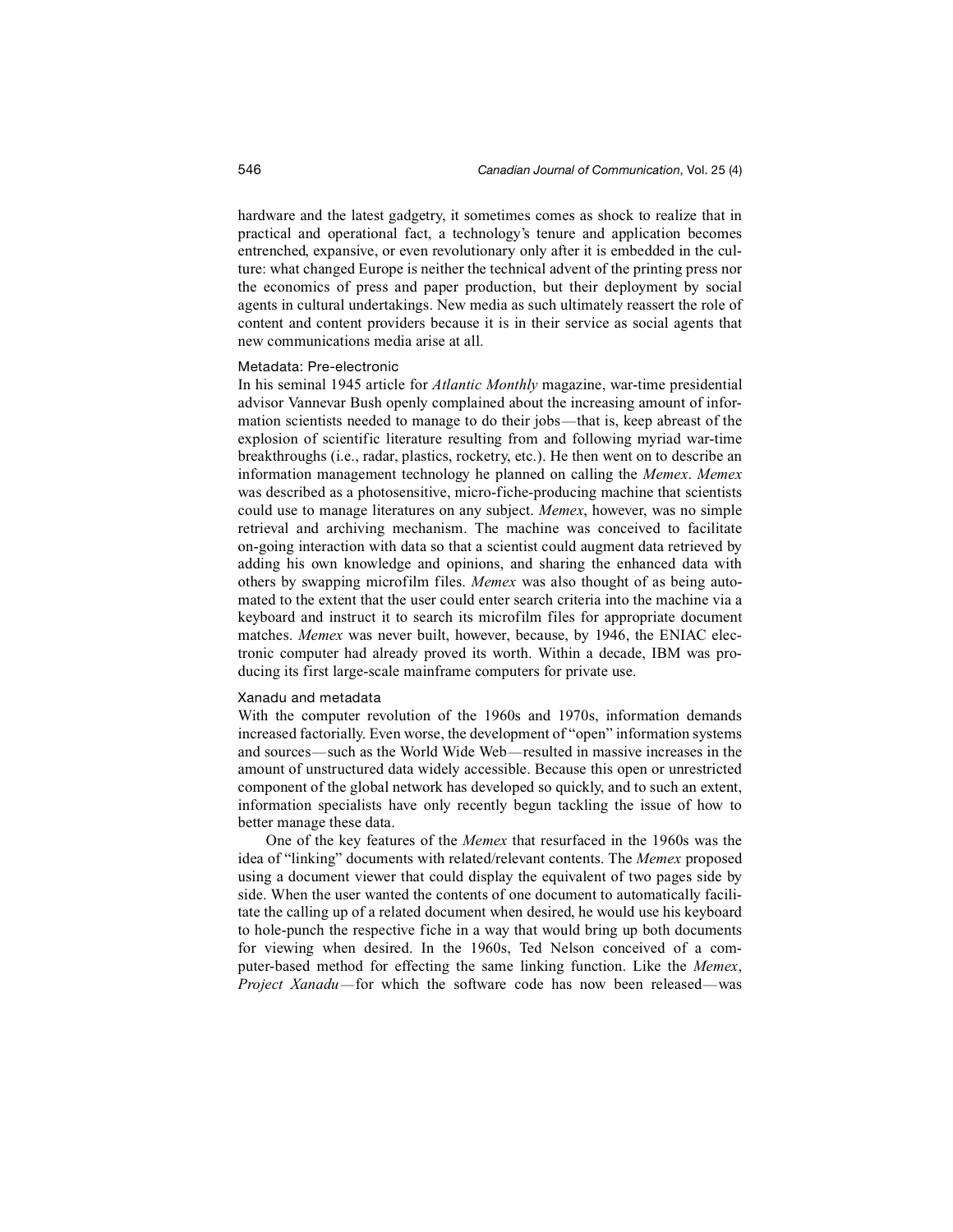hardware and the latest gadgetry, it sometimes comes as shock to realize that in practical and operational fact, a technology's tenure and application becomes entrenched, expansive, or even revolutionary only after it is embedded in the culture: what changed Europe is neither the technical advent of the printing press nor the economics of press and paper production, but their deployment by social agents in cultural undertakings. New media as such ultimately reassert the role of content and content providers because it is in their service as social agents that new communications media arise at all.

#### Metadata: Pre-electronic

In his seminal 1945 article for *Atlantic Monthly* magazine, war-time presidential advisor Vannevar Bush openly complained about the increasing amount of information scientists needed to manage to do their jobs—that is, keep abreast of the explosion of scientific literature resulting from and following myriad war-time breakthroughs (i.e., radar, plastics, rocketry, etc.). He then went on to describe an information management technology he planned on calling the *Memex*. *Memex* was described as a photosensitive, micro-fiche-producing machine that scientists could use to manage literatures on any subject. *Memex*, however, was no simple retrieval and archiving mechanism. The machine was conceived to facilitate on-going interaction with data so that a scientist could augment data retrieved by adding his own knowledge and opinions, and sharing the enhanced data with others by swapping microfilm files. *Memex* was also thought of as being automated to the extent that the user could enter search criteria into the machine via a keyboard and instruct it to search its microfilm files for appropriate document matches. *Memex* was never built, however, because, by 1946, the ENIAC electronic computer had already proved its worth. Within a decade, IBM was producing its first large-scale mainframe computers for private use.

#### Xanadu and metadata

With the computer revolution of the 1960s and 1970s, information demands increased factorially. Even worse, the development of "open" information systems and sources—such as the World Wide Web—resulted in massive increases in the amount of unstructured data widely accessible. Because this open or unrestricted component of the global network has developed so quickly, and to such an extent, information specialists have only recently begun tackling the issue of how to better manage these data.

One of the key features of the *Memex* that resurfaced in the 1960s was the idea of "linking" documents with related/relevant contents. The *Memex* proposed using a document viewer that could display the equivalent of two pages side by side. When the user wanted the contents of one document to automatically facilitate the calling up of a related document when desired, he would use his keyboard to hole-punch the respective fiche in a way that would bring up both documents for viewing when desired. In the 1960s, Ted Nelson conceived of a computer-based method for effecting the same linking function. Like the *Memex*, *Project Xanadu*—for which the software code has now been released—was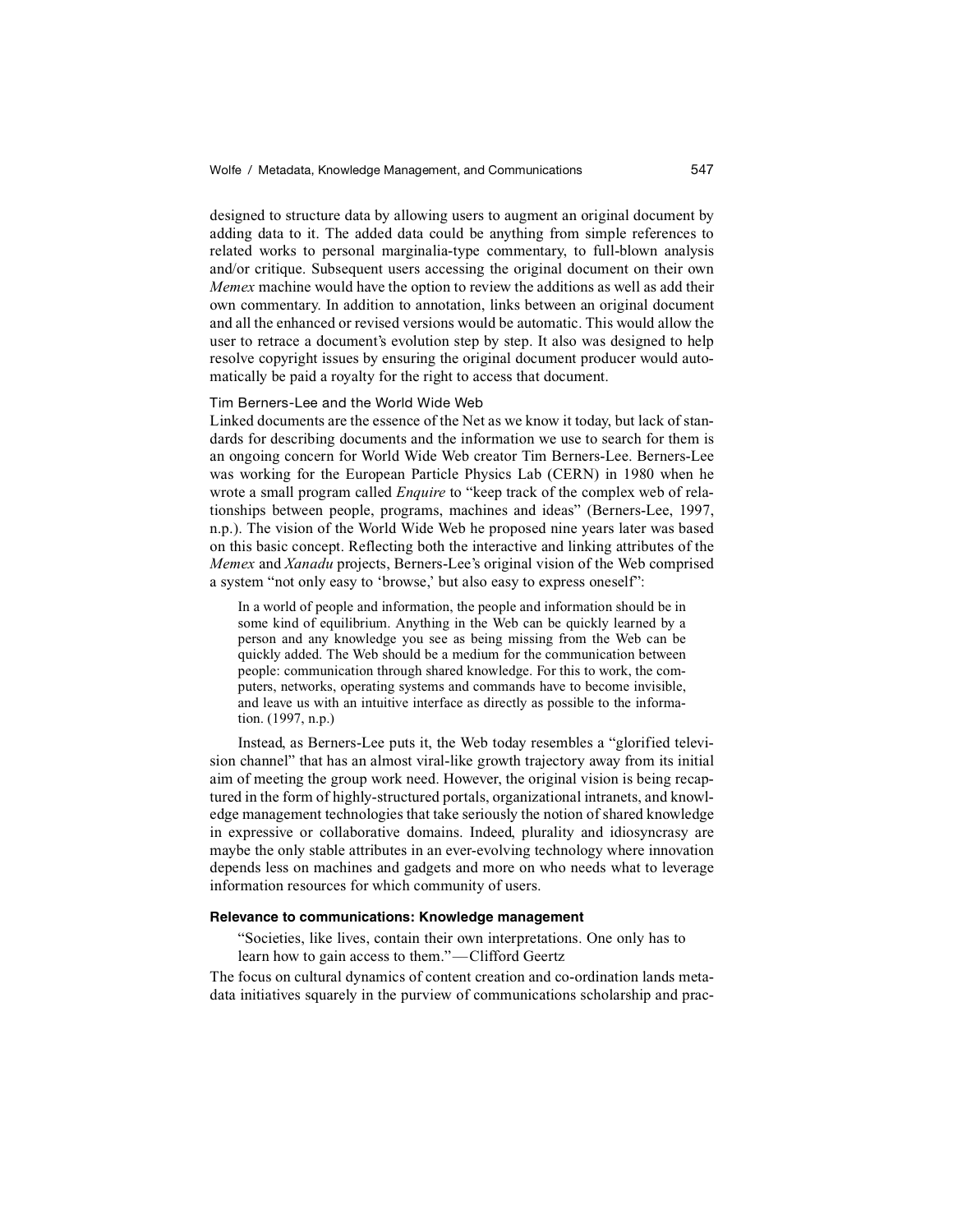designed to structure data by allowing users to augment an original document by adding data to it. The added data could be anything from simple references to related works to personal marginalia-type commentary, to full-blown analysis and/or critique. Subsequent users accessing the original document on their own *Memex* machine would have the option to review the additions as well as add their own commentary. In addition to annotation, links between an original document and all the enhanced or revised versions would be automatic. This would allow the user to retrace a document's evolution step by step. It also was designed to help resolve copyright issues by ensuring the original document producer would automatically be paid a royalty for the right to access that document.

#### Tim Berners-Lee and the World Wide Web

Linked documents are the essence of the Net as we know it today, but lack of standards for describing documents and the information we use to search for them is an ongoing concern for World Wide Web creator Tim Berners-Lee. Berners-Lee was working for the European Particle Physics Lab (CERN) in 1980 when he wrote a small program called *Enquire* to "keep track of the complex web of relationships between people, programs, machines and ideas" (Berners-Lee, 1997, n.p.). The vision of the World Wide Web he proposed nine years later was based on this basic concept. Reflecting both the interactive and linking attributes of the *Memex* and *Xanadu* projects, Berners-Lee's original vision of the Web comprised a system "not only easy to 'browse,' but also easy to express oneself":

In a world of people and information, the people and information should be in some kind of equilibrium. Anything in the Web can be quickly learned by a person and any knowledge you see as being missing from the Web can be quickly added. The Web should be a medium for the communication between people: communication through shared knowledge. For this to work, the computers, networks, operating systems and commands have to become invisible, and leave us with an intuitive interface as directly as possible to the information. (1997, n.p.)

Instead, as Berners-Lee puts it, the Web today resembles a "glorified television channel" that has an almost viral-like growth trajectory away from its initial aim of meeting the group work need. However, the original vision is being recaptured in the form of highly-structured portals, organizational intranets, and knowledge management technologies that take seriously the notion of shared knowledge in expressive or collaborative domains. Indeed, plurality and idiosyncrasy are maybe the only stable attributes in an ever-evolving technology where innovation depends less on machines and gadgets and more on who needs what to leverage information resources for which community of users.

### **Relevance to communications: Knowledge management**

"Societies, like lives, contain their own interpretations. One only has to learn how to gain access to them."—Clifford Geertz

The focus on cultural dynamics of content creation and co-ordination lands metadata initiatives squarely in the purview of communications scholarship and prac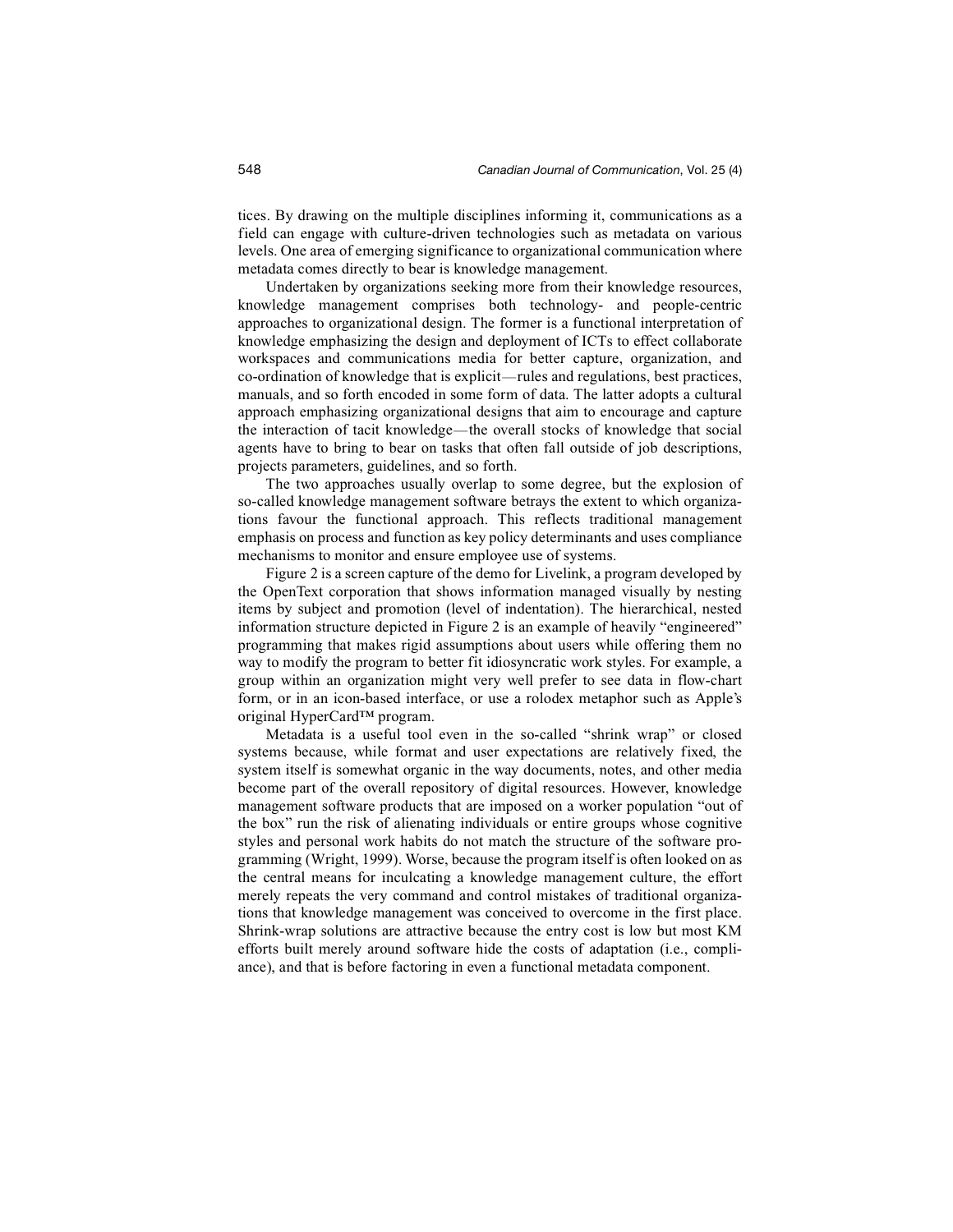tices. By drawing on the multiple disciplines informing it, communications as a field can engage with culture-driven technologies such as metadata on various levels. One area of emerging significance to organizational communication where metadata comes directly to bear is knowledge management.

Undertaken by organizations seeking more from their knowledge resources, knowledge management comprises both technology- and people-centric approaches to organizational design. The former is a functional interpretation of knowledge emphasizing the design and deployment of ICTs to effect collaborate workspaces and communications media for better capture, organization, and co-ordination of knowledge that is explicit—rules and regulations, best practices, manuals, and so forth encoded in some form of data. The latter adopts a cultural approach emphasizing organizational designs that aim to encourage and capture the interaction of tacit knowledge—the overall stocks of knowledge that social agents have to bring to bear on tasks that often fall outside of job descriptions, projects parameters, guidelines, and so forth.

The two approaches usually overlap to some degree, but the explosion of so-called knowledge management software betrays the extent to which organizations favour the functional approach. This reflects traditional management emphasis on process and function as key policy determinants and uses compliance mechanisms to monitor and ensure employee use of systems.

Figure 2 is a screen capture of the demo for Livelink, a program developed by the OpenText corporation that shows information managed visually by nesting items by subject and promotion (level of indentation). The hierarchical, nested information structure depicted in Figure 2 is an example of heavily "engineered" programming that makes rigid assumptions about users while offering them no way to modify the program to better fit idiosyncratic work styles. For example, a group within an organization might very well prefer to see data in flow-chart form, or in an icon-based interface, or use a rolodex metaphor such as Apple's original HyperCard™ program.

Metadata is a useful tool even in the so-called "shrink wrap" or closed systems because, while format and user expectations are relatively fixed, the system itself is somewhat organic in the way documents, notes, and other media become part of the overall repository of digital resources. However, knowledge management software products that are imposed on a worker population "out of the box" run the risk of alienating individuals or entire groups whose cognitive styles and personal work habits do not match the structure of the software programming (Wright, 1999). Worse, because the program itself is often looked on as the central means for inculcating a knowledge management culture, the effort merely repeats the very command and control mistakes of traditional organizations that knowledge management was conceived to overcome in the first place. Shrink-wrap solutions are attractive because the entry cost is low but most KM efforts built merely around software hide the costs of adaptation (i.e., compliance), and that is before factoring in even a functional metadata component.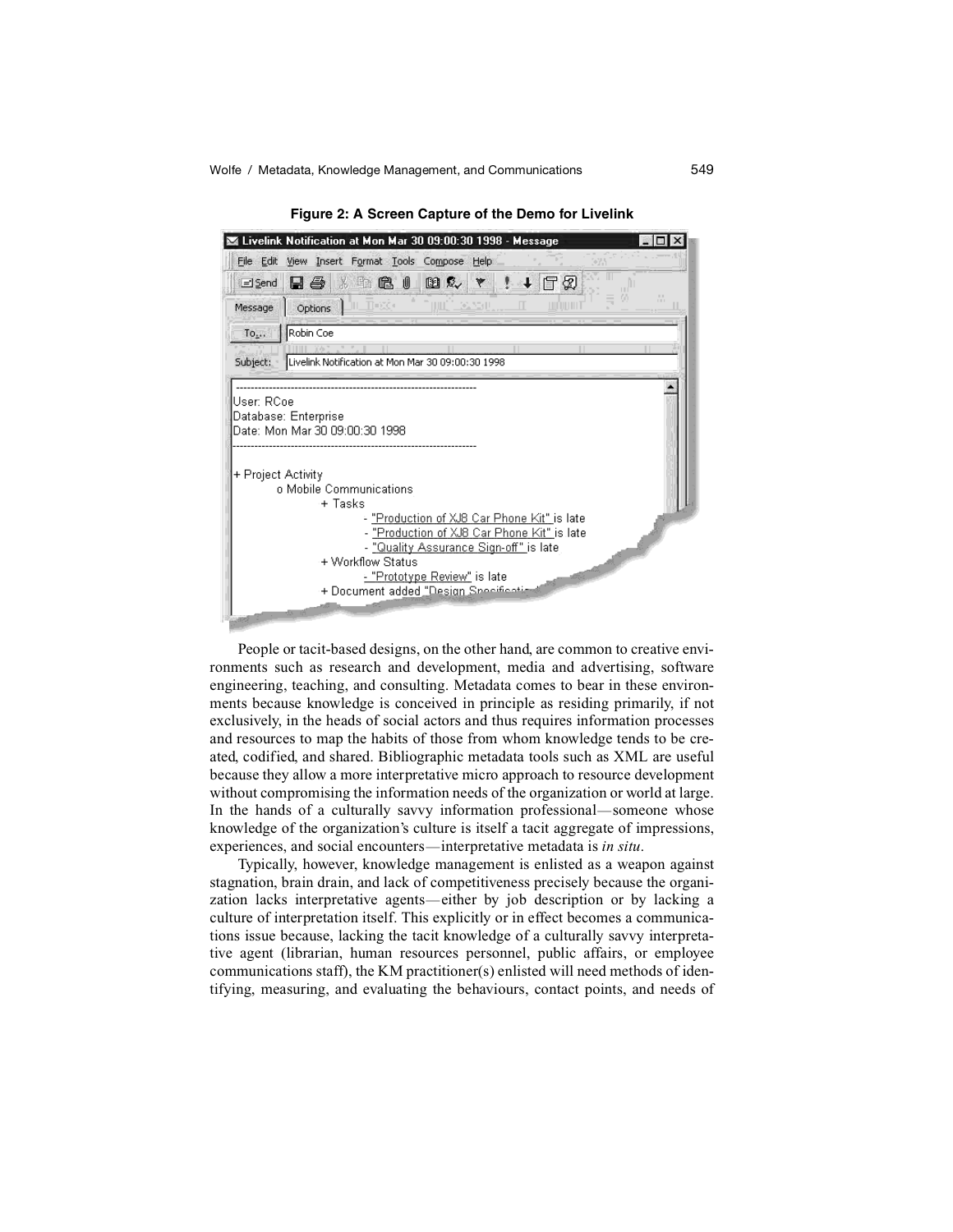Wolfe / Metadata, Knowledge Management, and Communications 549



**Figure 2: A Screen Capture of the Demo for Livelink**

People or tacit-based designs, on the other hand, are common to creative environments such as research and development, media and advertising, software engineering, teaching, and consulting. Metadata comes to bear in these environments because knowledge is conceived in principle as residing primarily, if not exclusively, in the heads of social actors and thus requires information processes and resources to map the habits of those from whom knowledge tends to be created, codified, and shared. Bibliographic metadata tools such as XML are useful because they allow a more interpretative micro approach to resource development without compromising the information needs of the organization or world at large. In the hands of a culturally savvy information professional—someone whose knowledge of the organization's culture is itself a tacit aggregate of impressions, experiences, and social encounters—interpretative metadata is *in situ*.

Typically, however, knowledge management is enlisted as a weapon against stagnation, brain drain, and lack of competitiveness precisely because the organization lacks interpretative agents—either by job description or by lacking a culture of interpretation itself. This explicitly or in effect becomes a communications issue because, lacking the tacit knowledge of a culturally savvy interpretative agent (librarian, human resources personnel, public affairs, or employee communications staff), the KM practitioner(s) enlisted will need methods of identifying, measuring, and evaluating the behaviours, contact points, and needs of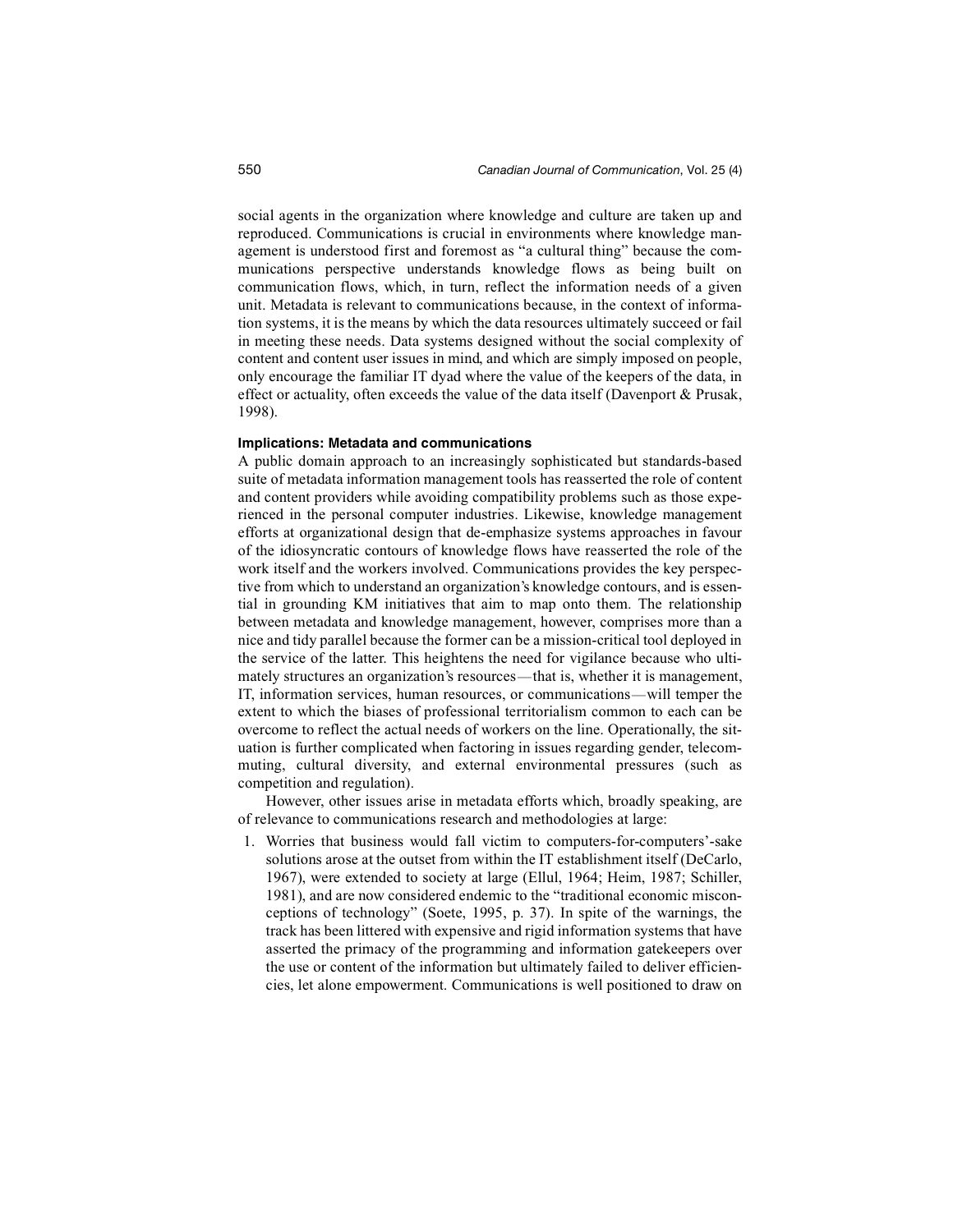social agents in the organization where knowledge and culture are taken up and reproduced. Communications is crucial in environments where knowledge management is understood first and foremost as "a cultural thing" because the communications perspective understands knowledge flows as being built on communication flows, which, in turn, reflect the information needs of a given unit. Metadata is relevant to communications because, in the context of information systems, it is the means by which the data resources ultimately succeed or fail in meeting these needs. Data systems designed without the social complexity of content and content user issues in mind, and which are simply imposed on people, only encourage the familiar IT dyad where the value of the keepers of the data, in effect or actuality, often exceeds the value of the data itself (Davenport  $\&$  Prusak, 1998).

#### **Implications: Metadata and communications**

A public domain approach to an increasingly sophisticated but standards-based suite of metadata information management tools has reasserted the role of content and content providers while avoiding compatibility problems such as those experienced in the personal computer industries. Likewise, knowledge management efforts at organizational design that de-emphasize systems approaches in favour of the idiosyncratic contours of knowledge flows have reasserted the role of the work itself and the workers involved. Communications provides the key perspective from which to understand an organization's knowledge contours, and is essential in grounding KM initiatives that aim to map onto them. The relationship between metadata and knowledge management, however, comprises more than a nice and tidy parallel because the former can be a mission-critical tool deployed in the service of the latter. This heightens the need for vigilance because who ultimately structures an organization's resources—that is, whether it is management, IT, information services, human resources, or communications—will temper the extent to which the biases of professional territorialism common to each can be overcome to reflect the actual needs of workers on the line. Operationally, the situation is further complicated when factoring in issues regarding gender, telecommuting, cultural diversity, and external environmental pressures (such as competition and regulation).

However, other issues arise in metadata efforts which, broadly speaking, are of relevance to communications research and methodologies at large:

1. Worries that business would fall victim to computers-for-computers'-sake solutions arose at the outset from within the IT establishment itself (DeCarlo, 1967), were extended to society at large (Ellul, 1964; Heim, 1987; Schiller, 1981), and are now considered endemic to the "traditional economic misconceptions of technology" (Soete, 1995, p. 37). In spite of the warnings, the track has been littered with expensive and rigid information systems that have asserted the primacy of the programming and information gatekeepers over the use or content of the information but ultimately failed to deliver efficiencies, let alone empowerment. Communications is well positioned to draw on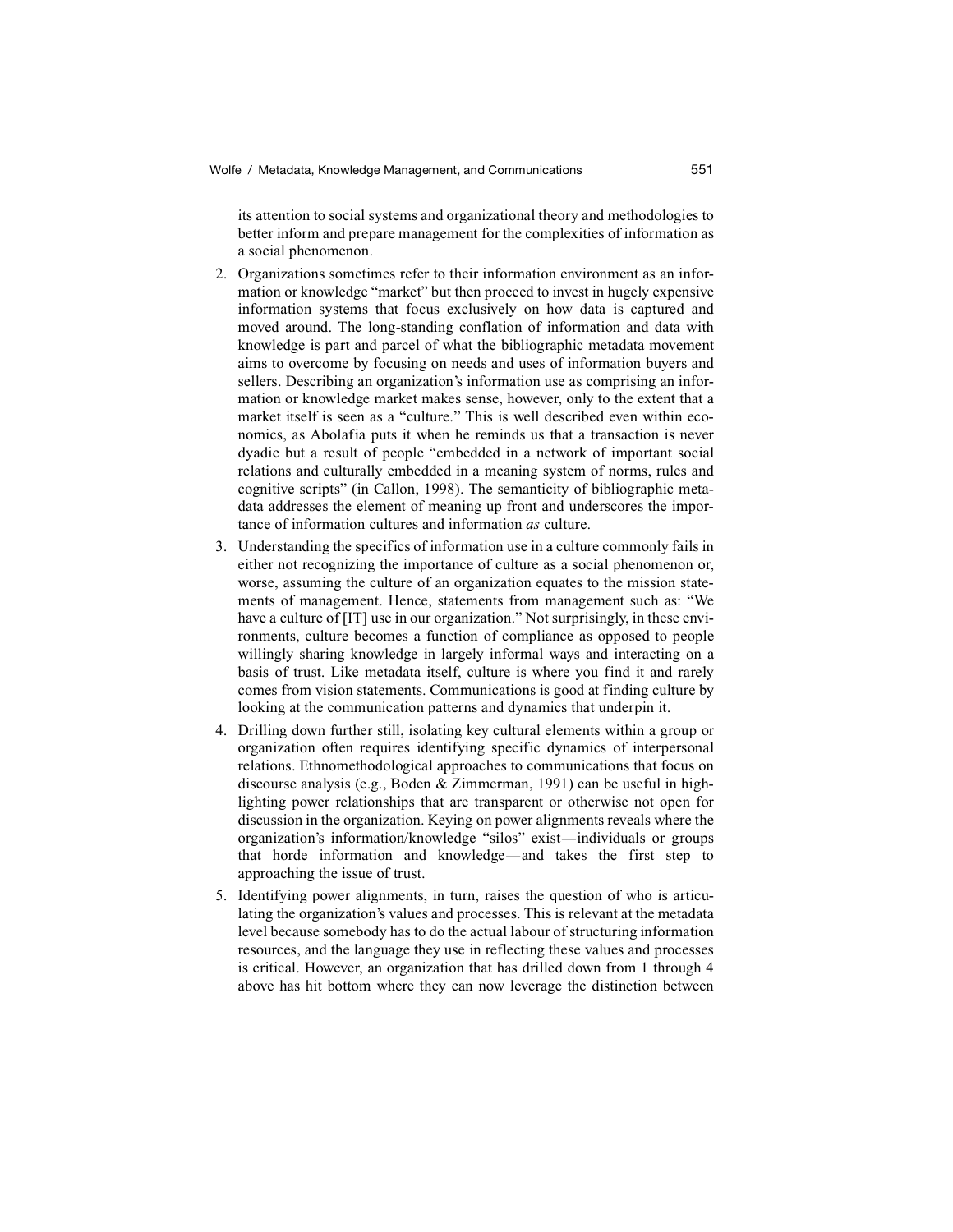its attention to social systems and organizational theory and methodologies to better inform and prepare management for the complexities of information as a social phenomenon.

- 2. Organizations sometimes refer to their information environment as an information or knowledge "market" but then proceed to invest in hugely expensive information systems that focus exclusively on how data is captured and moved around. The long-standing conflation of information and data with knowledge is part and parcel of what the bibliographic metadata movement aims to overcome by focusing on needs and uses of information buyers and sellers. Describing an organization's information use as comprising an information or knowledge market makes sense, however, only to the extent that a market itself is seen as a "culture." This is well described even within economics, as Abolafia puts it when he reminds us that a transaction is never dyadic but a result of people "embedded in a network of important social relations and culturally embedded in a meaning system of norms, rules and cognitive scripts" (in Callon, 1998). The semanticity of bibliographic metadata addresses the element of meaning up front and underscores the importance of information cultures and information *as* culture.
- 3. Understanding the specifics of information use in a culture commonly fails in either not recognizing the importance of culture as a social phenomenon or, worse, assuming the culture of an organization equates to the mission statements of management. Hence, statements from management such as: "We have a culture of [IT] use in our organization." Not surprisingly, in these environments, culture becomes a function of compliance as opposed to people willingly sharing knowledge in largely informal ways and interacting on a basis of trust. Like metadata itself, culture is where you find it and rarely comes from vision statements. Communications is good at finding culture by looking at the communication patterns and dynamics that underpin it.
- 4. Drilling down further still, isolating key cultural elements within a group or organization often requires identifying specific dynamics of interpersonal relations. Ethnomethodological approaches to communications that focus on discourse analysis (e.g., Boden & Zimmerman, 1991) can be useful in highlighting power relationships that are transparent or otherwise not open for discussion in the organization. Keying on power alignments reveals where the organization's information/knowledge "silos" exist—individuals or groups that horde information and knowledge—and takes the first step to approaching the issue of trust.
- 5. Identifying power alignments, in turn, raises the question of who is articulating the organization's values and processes. This is relevant at the metadata level because somebody has to do the actual labour of structuring information resources, and the language they use in reflecting these values and processes is critical. However, an organization that has drilled down from 1 through 4 above has hit bottom where they can now leverage the distinction between